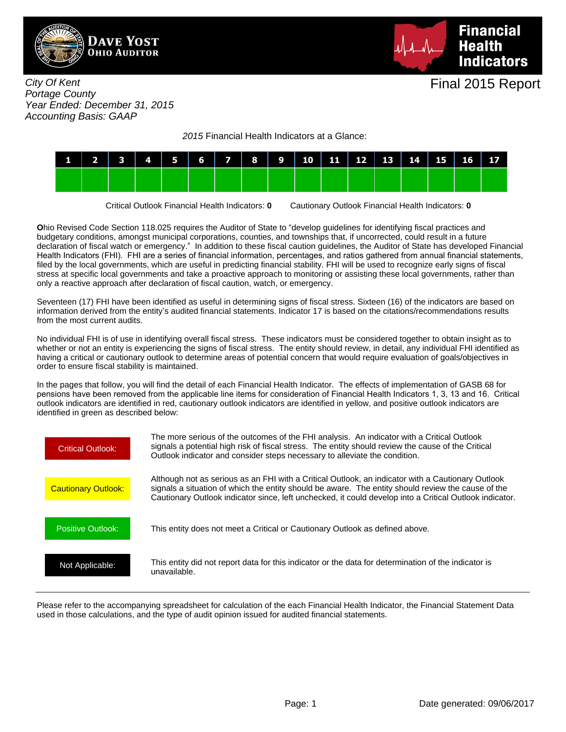



City Of Kent Portage County Year Ended: December 31, 2015 Accounting Basis: GAAP

2015 Financial Health Indicators at a Glance:



Critical Outlook Financial Health Indicators: **0** Cautionary Outlook Financial Health Indicators: **0**

**O**hio Revised Code Section 118.025 requires the Auditor of State to "develop guidelines for identifying fiscal practices and budgetary conditions, amongst municipal corporations, counties, and townships that, if uncorrected, could result in a future declaration of fiscal watch or emergency." In addition to these fiscal caution guidelines, the Auditor of State has developed Financial Health Indicators (FHI). FHI are a series of financial information, percentages, and ratios gathered from annual financial statements, filed by the local governments, which are useful in predicting financial stability. FHI will be used to recognize early signs of fiscal stress at specific local governments and take a proactive approach to monitoring or assisting these local governments, rather than only a reactive approach after declaration of fiscal caution, watch, or emergency.

Seventeen (17) FHI have been identified as useful in determining signs of fiscal stress. Sixteen (16) of the indicators are based on information derived from the entity's audited financial statements. Indicator 17 is based on the citations/recommendations results from the most current audits.

No individual FHI is of use in identifying overall fiscal stress. These indicators must be considered together to obtain insight as to whether or not an entity is experiencing the signs of fiscal stress. The entity should review, in detail, any individual FHI identified as having a critical or cautionary outlook to determine areas of potential concern that would require evaluation of goals/objectives in order to ensure fiscal stability is maintained.

In the pages that follow, you will find the detail of each Financial Health Indicator. The effects of implementation of GASB 68 for pensions have been removed from the applicable line items for consideration of Financial Health Indicators 1, 3, 13 and 16. Critical outlook indicators are identified in red, cautionary outlook indicators are identified in yellow, and positive outlook indicators are identified in green as described below:



Please refer to the accompanying spreadsheet for calculation of the each Financial Health Indicator, the Financial Statement Data used in those calculations, and the type of audit opinion issued for audited financial statements.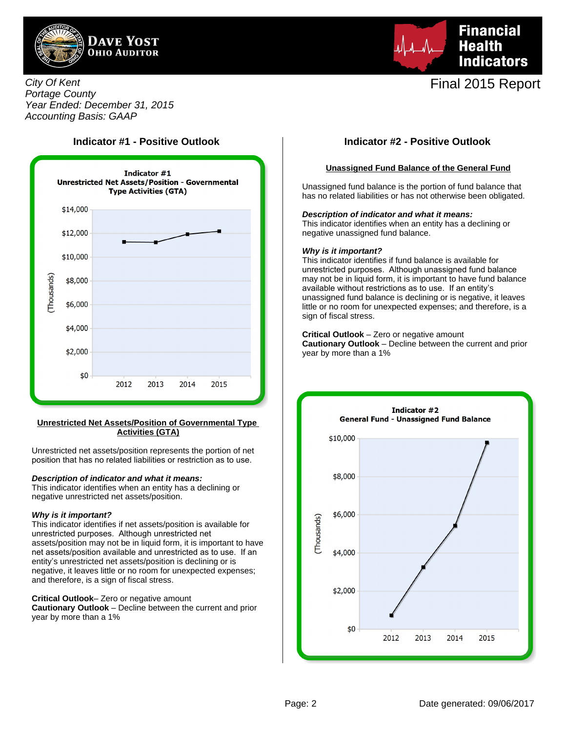



City Of Kent Portage County Year Ended: December 31, 2015 Accounting Basis: GAAP



#### **Unrestricted Net Assets/Position of Governmental Type Activities (GTA)**

Unrestricted net assets/position represents the portion of net position that has no related liabilities or restriction as to use.

### **Description of indicator and what it means:**

This indicator identifies when an entity has a declining or negative unrestricted net assets/position.

#### **Why is it important?**

This indicator identifies if net assets/position is available for unrestricted purposes. Although unrestricted net assets/position may not be in liquid form, it is important to have net assets/position available and unrestricted as to use. If an entity's unrestricted net assets/position is declining or is negative, it leaves little or no room for unexpected expenses; and therefore, is a sign of fiscal stress.

**Critical Outlook**– Zero or negative amount

**Cautionary Outlook** – Decline between the current and prior year by more than a 1%

## **Indicator #1 - Positive Outlook Indicator #2 - Positive Outlook**

#### **Unassigned Fund Balance of the General Fund**

Unassigned fund balance is the portion of fund balance that has no related liabilities or has not otherwise been obligated.

#### **Description of indicator and what it means:**

This indicator identifies when an entity has a declining or negative unassigned fund balance.

#### **Why is it important?**

This indicator identifies if fund balance is available for unrestricted purposes. Although unassigned fund balance may not be in liquid form, it is important to have fund balance available without restrictions as to use. If an entity's unassigned fund balance is declining or is negative, it leaves little or no room for unexpected expenses; and therefore, is a sign of fiscal stress.

### **Critical Outlook** – Zero or negative amount

**Cautionary Outlook** – Decline between the current and prior year by more than a 1%

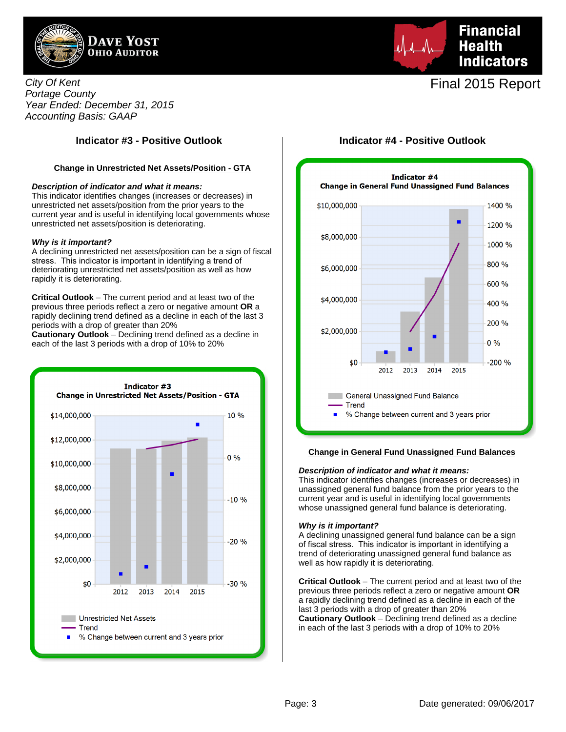

City Of Kent Portage County Year Ended: December 31, 2015 Accounting Basis: GAAP

### **Change in Unrestricted Net Assets/Position - GTA**

#### **Description of indicator and what it means:**

This indicator identifies changes (increases or decreases) in unrestricted net assets/position from the prior years to the current year and is useful in identifying local governments whose unrestricted net assets/position is deteriorating.

#### **Why is it important?**

A declining unrestricted net assets/position can be a sign of fiscal stress. This indicator is important in identifying a trend of deteriorating unrestricted net assets/position as well as how rapidly it is deteriorating.

**Critical Outlook** – The current period and at least two of the previous three periods reflect a zero or negative amount **OR** a rapidly declining trend defined as a decline in each of the last 3 periods with a drop of greater than 20%

**Cautionary Outlook** – Declining trend defined as a decline in each of the last 3 periods with a drop of 10% to 20%



# **Financial Health Indicators**

# Final 2015 Report

## **Indicator #3 - Positive Outlook Indicator #4 - Positive Outlook**



#### **Change in General Fund Unassigned Fund Balances**

#### **Description of indicator and what it means:**

This indicator identifies changes (increases or decreases) in unassigned general fund balance from the prior years to the current year and is useful in identifying local governments whose unassigned general fund balance is deteriorating.

#### **Why is it important?**

A declining unassigned general fund balance can be a sign of fiscal stress. This indicator is important in identifying a trend of deteriorating unassigned general fund balance as well as how rapidly it is deteriorating.

**Critical Outlook** – The current period and at least two of the previous three periods reflect a zero or negative amount **OR** a rapidly declining trend defined as a decline in each of the last 3 periods with a drop of greater than 20% **Cautionary Outlook** – Declining trend defined as a decline in each of the last 3 periods with a drop of 10% to 20%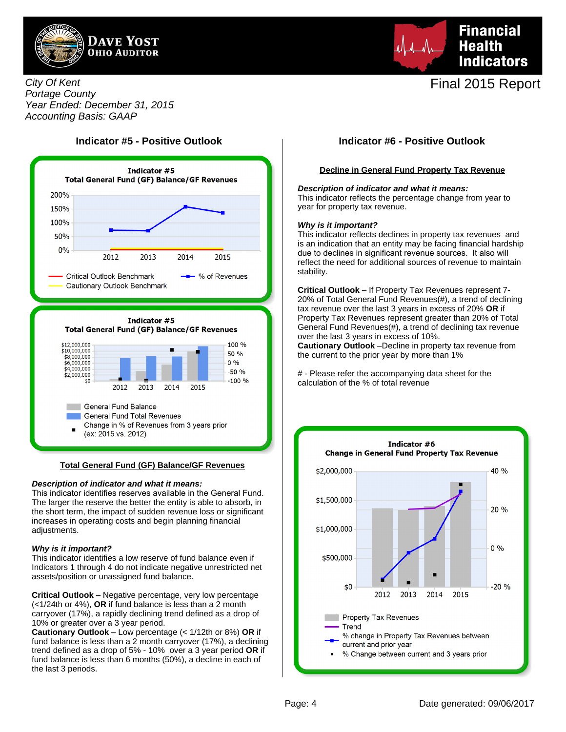



City Of Kent Portage County Year Ended: December 31, 2015 Accounting Basis: GAAP

# **Indicator #5 - Positive Outlook Indicator #6 - Positive Outlook**



#### **Total General Fund (GF) Balance/GF Revenues**

#### **Description of indicator and what it means:**

This indicator identifies reserves available in the General Fund. The larger the reserve the better the entity is able to absorb, in the short term, the impact of sudden revenue loss or significant increases in operating costs and begin planning financial adjustments.

#### **Why is it important?**

This indicator identifies a low reserve of fund balance even if Indicators 1 through 4 do not indicate negative unrestricted net assets/position or unassigned fund balance.

**Critical Outlook** – Negative percentage, very low percentage (<1/24th or 4%), **OR** if fund balance is less than a 2 month carryover (17%), a rapidly declining trend defined as a drop of 10% or greater over a 3 year period.

**Cautionary Outlook** – Low percentage (< 1/12th or 8%) **OR** if fund balance is less than a 2 month carryover (17%), a declining trend defined as a drop of 5% - 10% over a 3 year period **OR** if fund balance is less than 6 months (50%), a decline in each of the last 3 periods.

#### **Decline in General Fund Property Tax Revenue**

#### **Description of indicator and what it means:**

This indicator reflects the percentage change from year to year for property tax revenue.

#### **Why is it important?**

This indicator reflects declines in property tax revenues and is an indication that an entity may be facing financial hardship due to declines in significant revenue sources. It also will reflect the need for additional sources of revenue to maintain stability.

**Critical Outlook** – If Property Tax Revenues represent 7- 20% of Total General Fund Revenues(#), a trend of declining tax revenue over the last 3 years in excess of 20% **OR** if Property Tax Revenues represent greater than 20% of Total General Fund Revenues(#), a trend of declining tax revenue over the last 3 years in excess of 10%.

**Cautionary Outlook** –Decline in property tax revenue from the current to the prior year by more than 1%

# - Please refer the accompanying data sheet for the calculation of the % of total revenue

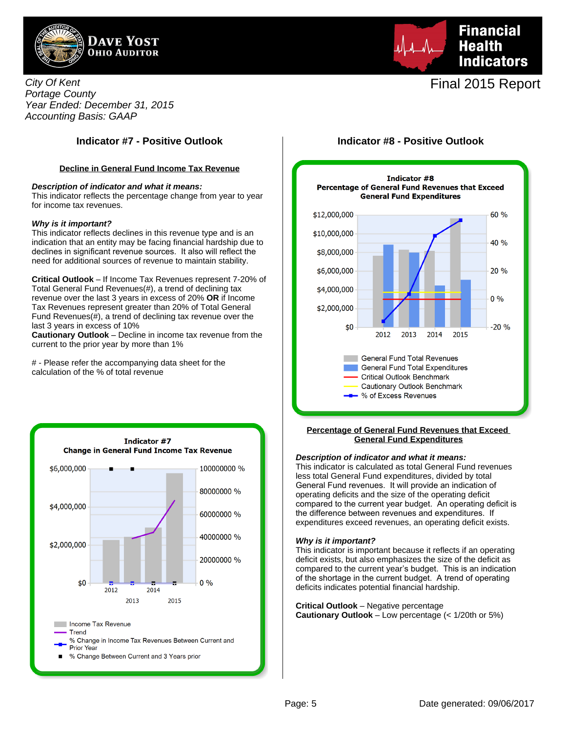



### **Decline in General Fund Income Tax Revenue**

#### **Description of indicator and what it means:**

This indicator reflects the percentage change from year to year for income tax revenues.

#### **Why is it important?**

This indicator reflects declines in this revenue type and is an indication that an entity may be facing financial hardship due to declines in significant revenue sources. It also will reflect the need for additional sources of revenue to maintain stability.

**Critical Outlook** – If Income Tax Revenues represent 7-20% of Total General Fund Revenues(#), a trend of declining tax revenue over the last 3 years in excess of 20% **OR** if Income Tax Revenues represent greater than 20% of Total General Fund Revenues(#), a trend of declining tax revenue over the last 3 years in excess of 10%

**Cautionary Outlook** – Decline in income tax revenue from the current to the prior year by more than 1%

# - Please refer the accompanying data sheet for the calculation of the % of total revenue



# **Financial Health Indicators**

# Final 2015 Report

## **Indicator #7 - Positive Outlook Indicator #8 - Positive Outlook**



#### **Percentage of General Fund Revenues that Exceed General Fund Expenditures**

#### **Description of indicator and what it means:**

This indicator is calculated as total General Fund revenues less total General Fund expenditures, divided by total General Fund revenues. It will provide an indication of operating deficits and the size of the operating deficit compared to the current year budget. An operating deficit is the difference between revenues and expenditures. If expenditures exceed revenues, an operating deficit exists.

#### **Why is it important?**

This indicator is important because it reflects if an operating deficit exists, but also emphasizes the size of the deficit as compared to the current year's budget. This is an indication of the shortage in the current budget. A trend of operating deficits indicates potential financial hardship.

**Critical Outlook** – Negative percentage **Cautionary Outlook** – Low percentage (< 1/20th or 5%)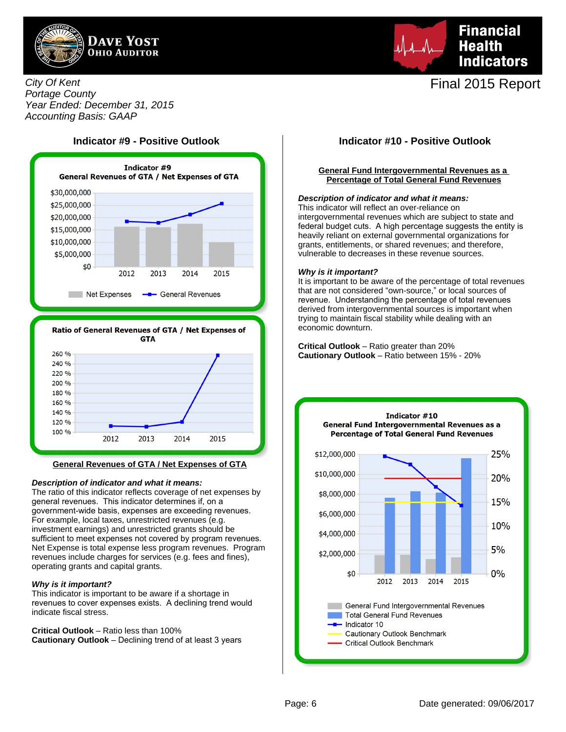



## City Of Kent Portage County Year Ended: December 31, 2015 Accounting Basis: GAAP





#### **General Revenues of GTA / Net Expenses of GTA**

#### **Description of indicator and what it means:**

The ratio of this indicator reflects coverage of net expenses by general revenues. This indicator determines if, on a government-wide basis, expenses are exceeding revenues. For example, local taxes, unrestricted revenues (e.g. investment earnings) and unrestricted grants should be sufficient to meet expenses not covered by program revenues. Net Expense is total expense less program revenues. Program revenues include charges for services (e.g. fees and fines), operating grants and capital grants.

#### **Why is it important?**

This indicator is important to be aware if a shortage in revenues to cover expenses exists. A declining trend would indicate fiscal stress.

**Critical Outlook** – Ratio less than 100% **Cautionary Outlook** – Declining trend of at least 3 years

#### **General Fund Intergovernmental Revenues as a Percentage of Total General Fund Revenues**

#### **Description of indicator and what it means:**

This indicator will reflect an over-reliance on intergovernmental revenues which are subject to state and federal budget cuts. A high percentage suggests the entity is heavily reliant on external governmental organizations for grants, entitlements, or shared revenues; and therefore, vulnerable to decreases in these revenue sources.

#### **Why is it important?**

It is important to be aware of the percentage of total revenues that are not considered "own-source," or local sources of revenue. Understanding the percentage of total revenues derived from intergovernmental sources is important when trying to maintain fiscal stability while dealing with an economic downturn.

**Critical Outlook** – Ratio greater than 20% **Cautionary Outlook** – Ratio between 15% - 20%

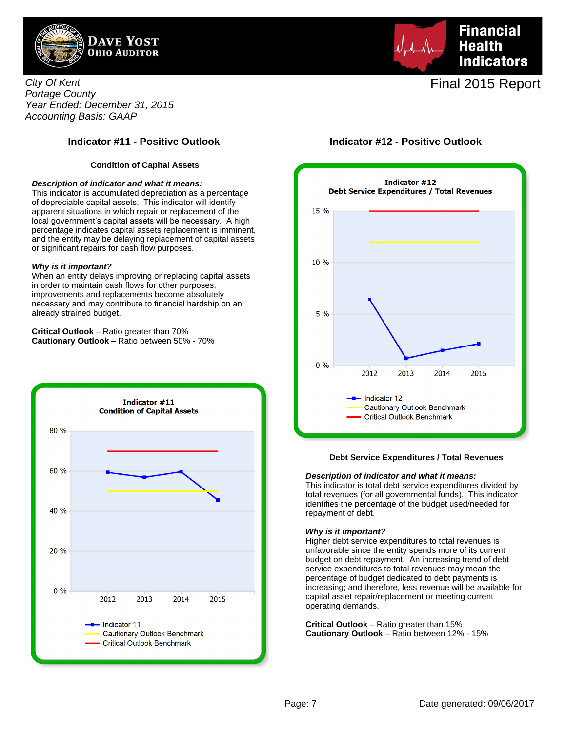



City Of Kent Portage County Year Ended: December 31, 2015 Accounting Basis: GAAP

## **Indicator #11 - Positive Outlook Indicator #12 - Positive Outlook**

#### **Condition of Capital Assets**

#### **Description of indicator and what it means:**

This indicator is accumulated depreciation as a percentage of depreciable capital assets. This indicator will identify apparent situations in which repair or replacement of the local government's capital assets will be necessary. A high percentage indicates capital assets replacement is imminent, and the entity may be delaying replacement of capital assets or significant repairs for cash flow purposes.

#### **Why is it important?**

When an entity delays improving or replacing capital assets in order to maintain cash flows for other purposes, improvements and replacements become absolutely necessary and may contribute to financial hardship on an already strained budget.

**Critical Outlook** – Ratio greater than 70% **Cautionary Outlook** – Ratio between 50% - 70%





#### **Debt Service Expenditures / Total Revenues**

#### **Description of indicator and what it means:**

This indicator is total debt service expenditures divided by total revenues (for all governmental funds). This indicator identifies the percentage of the budget used/needed for repayment of debt.

#### **Why is it important?**

Higher debt service expenditures to total revenues is unfavorable since the entity spends more of its current budget on debt repayment. An increasing trend of debt service expenditures to total revenues may mean the percentage of budget dedicated to debt payments is increasing; and therefore, less revenue will be available for capital asset repair/replacement or meeting current operating demands.

**Critical Outlook** – Ratio greater than 15% **Cautionary Outlook** – Ratio between 12% - 15%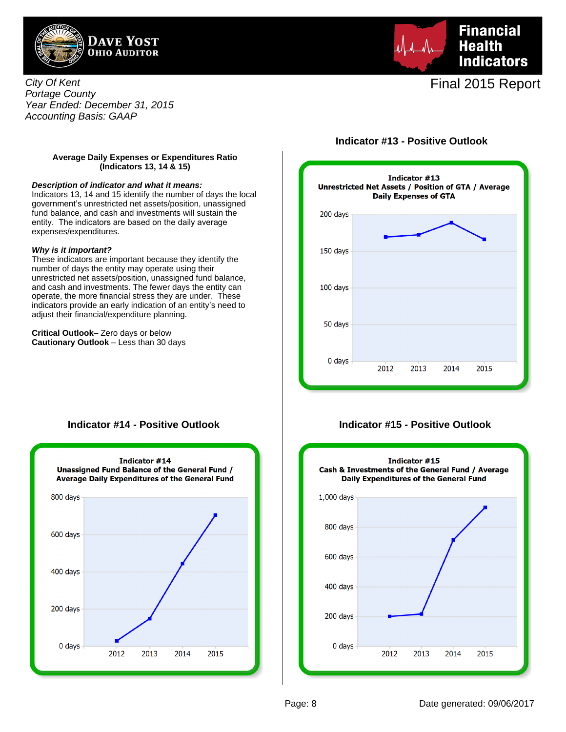



City Of Kent Portage County Year Ended: December 31, 2015 Accounting Basis: GAAP

## **Indicator #13 - Positive Outlook**

### **Average Daily Expenses or Expenditures Ratio (Indicators 13, 14 & 15)**

#### **Description of indicator and what it means:**

Indicators 13, 14 and 15 identify the number of days the local government's unrestricted net assets/position, unassigned fund balance, and cash and investments will sustain the entity. The indicators are based on the daily average expenses/expenditures.

#### **Why is it important?**

These indicators are important because they identify the number of days the entity may operate using their unrestricted net assets/position, unassigned fund balance, and cash and investments. The fewer days the entity can operate, the more financial stress they are under. These indicators provide an early indication of an entity's need to adjust their financial/expenditure planning.

**Critical Outlook**– Zero days or below **Cautionary Outlook** – Less than 30 days



## **Indicator #14 - Positive Outlook**



**Indicator #15 - Positive Outlook**

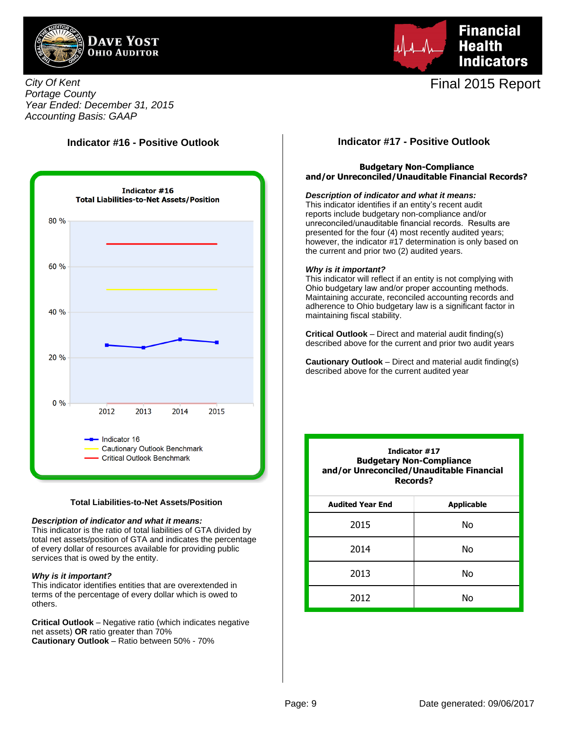



City Of Kent Portage County Year Ended: December 31, 2015 Accounting Basis: GAAP

# **Indicator #16 - Positive Outlook**



#### **Total Liabilities-to-Net Assets/Position**

#### **Description of indicator and what it means:**

This indicator is the ratio of total liabilities of GTA divided by total net assets/position of GTA and indicates the percentage of every dollar of resources available for providing public services that is owed by the entity.

#### **Why is it important?**

This indicator identifies entities that are overextended in terms of the percentage of every dollar which is owed to others.

**Critical Outlook** – Negative ratio (which indicates negative net assets) **OR** ratio greater than 70% **Cautionary Outlook** – Ratio between 50% - 70%

## **Indicator #17 - Positive Outlook**

### **Budgetary Non-Compliance and/or Unreconciled/Unauditable Financial Records?**

#### **Description of indicator and what it means:**

This indicator identifies if an entity's recent audit reports include budgetary non-compliance and/or unreconciled/unauditable financial records. Results are presented for the four (4) most recently audited years; however, the indicator #17 determination is only based on the current and prior two (2) audited years.

#### **Why is it important?**

This indicator will reflect if an entity is not complying with Ohio budgetary law and/or proper accounting methods. Maintaining accurate, reconciled accounting records and adherence to Ohio budgetary law is a significant factor in maintaining fiscal stability.

**Critical Outlook** – Direct and material audit finding(s) described above for the current and prior two audit years

**Cautionary Outlook** – Direct and material audit finding(s) described above for the current audited year

| Indicator #17<br><b>Budgetary Non-Compliance</b><br>and/or Unreconciled/Unauditable Financial<br><b>Records?</b> |                   |  |  |  |  |  |  |
|------------------------------------------------------------------------------------------------------------------|-------------------|--|--|--|--|--|--|
| <b>Audited Year End</b>                                                                                          | <b>Applicable</b> |  |  |  |  |  |  |
| 2015                                                                                                             | No                |  |  |  |  |  |  |
| 2014                                                                                                             | No                |  |  |  |  |  |  |
| 2013                                                                                                             | Nο                |  |  |  |  |  |  |
| 2012                                                                                                             |                   |  |  |  |  |  |  |